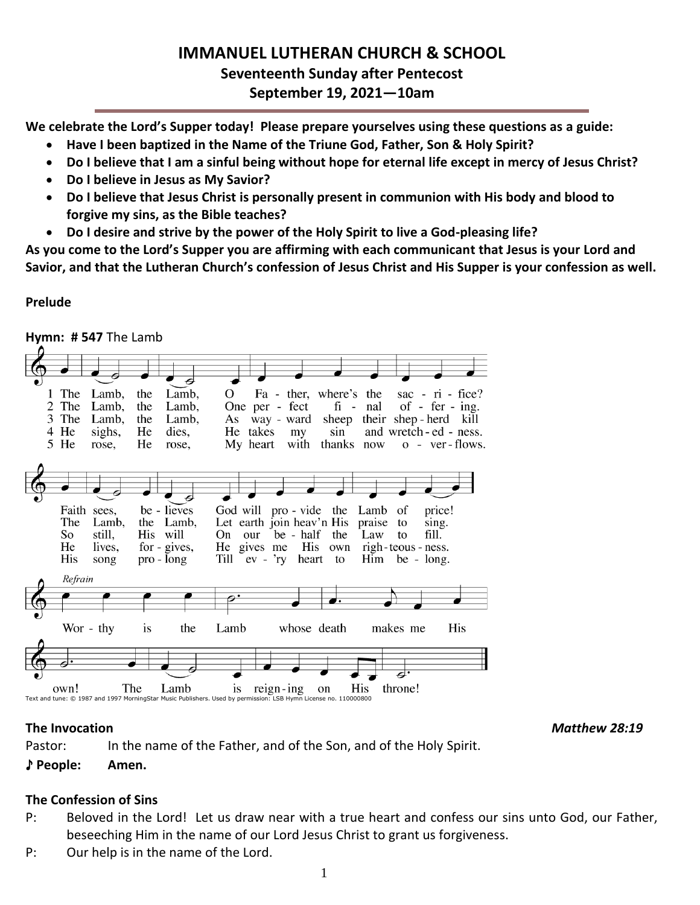# **IMMANUEL LUTHERAN CHURCH & SCHOOL Seventeenth Sunday after Pentecost September 19, 2021—10am**

**We celebrate the Lord's Supper today! Please prepare yourselves using these questions as a guide:**

- **Have I been baptized in the Name of the Triune God, Father, Son & Holy Spirit?**
- **Do I believe that I am a sinful being without hope for eternal life except in mercy of Jesus Christ?**
- **Do I believe in Jesus as My Savior?**
- **Do I believe that Jesus Christ is personally present in communion with His body and blood to forgive my sins, as the Bible teaches?**
- **Do I desire and strive by the power of the Holy Spirit to live a God-pleasing life?**

**As you come to the Lord's Supper you are affirming with each communicant that Jesus is your Lord and Savior, and that the Lutheran Church's confession of Jesus Christ and His Supper is your confession as well.**

## **Prelude**

**Hymn: # 547** The Lamb

|        |                                     |                                                  |                                                                            | 右                                                                                                                     |                                                                                                                          |                                  |               |                                                                                                                  |
|--------|-------------------------------------|--------------------------------------------------|----------------------------------------------------------------------------|-----------------------------------------------------------------------------------------------------------------------|--------------------------------------------------------------------------------------------------------------------------|----------------------------------|---------------|------------------------------------------------------------------------------------------------------------------|
| 1<br>2 | The<br>The<br>3 The<br>4 He<br>5 He | Lamb,<br>Lamb,<br>Lamb,<br>sighs,<br>rose,       | the<br>Lamb,<br>the<br>Lamb,<br>the<br>Lamb,<br>He<br>dies,<br>He<br>rose, | О                                                                                                                     | Fa - ther, where's the<br>One per - fect<br>As way - ward<br>He takes<br>my<br>My heart                                  | $fi -$<br>sin<br>with thanks now | nal           | sac - $ri$ - fice?<br>of - fer - ing.<br>sheep their shep-herd kill<br>and wretch-ed - ness.<br>$o$ - ver-flows. |
|        | The<br>So<br>He<br>His              | Faith sees,<br>Lamb,<br>still,<br>lives,<br>song | be - lieves<br>the Lamb,<br>His will<br>for - gives,<br>pro - long         | On our                                                                                                                | God will pro - vide the Lamb<br>Let earth join heav'n His<br>be - half the<br>He gives me His own<br>Till ev - 'ry heart | to                               | praise<br>Law | price!<br>of<br>to<br>sing.<br>fill.<br>to<br>righ-teous - ness.<br>$\lim$ be - long.                            |
|        | Refrain                             |                                                  |                                                                            |                                                                                                                       |                                                                                                                          |                                  |               |                                                                                                                  |
|        |                                     |                                                  |                                                                            | $\overline{\mathbf{e}^{\mathbf{-}}}$                                                                                  |                                                                                                                          |                                  |               |                                                                                                                  |
|        |                                     |                                                  |                                                                            |                                                                                                                       |                                                                                                                          | ī                                |               |                                                                                                                  |
|        |                                     | Wor - thy                                        | is                                                                         | Lamb<br>the                                                                                                           |                                                                                                                          | whose death                      | makes me      | His                                                                                                              |
|        |                                     |                                                  |                                                                            |                                                                                                                       |                                                                                                                          |                                  |               | $\overline{\epsilon}$                                                                                            |
|        | own!                                |                                                  | The<br>Lamb                                                                | 1S<br>Text and tune: © 1987 and 1997 MorningStar Music Publishers. Used by permission: LSB Hymn License no. 110000800 | $reign-ing$                                                                                                              | on                               | His           | throne!                                                                                                          |

**The Invocation** *Matthew 28:19*

Pastor: In the name of the Father, and of the Son, and of the Holy Spirit. ♪ **People: Amen.**

## **The Confession of Sins**

- P: Beloved in the Lord! Let us draw near with a true heart and confess our sins unto God, our Father, beseeching Him in the name of our Lord Jesus Christ to grant us forgiveness.
- P: Our help is in the name of the Lord.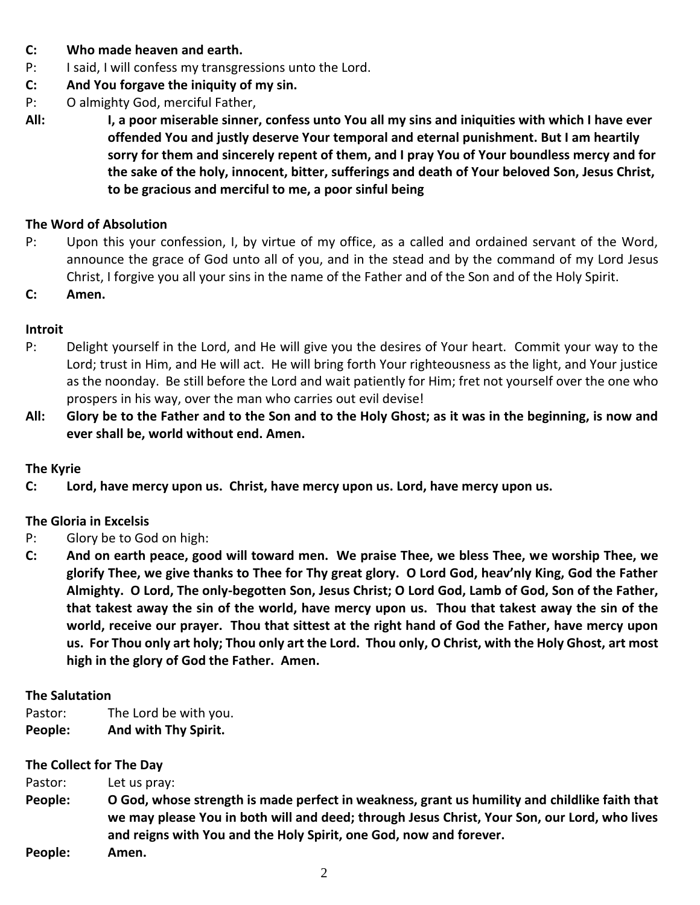- **C: Who made heaven and earth.**
- P: I said, I will confess my transgressions unto the Lord.
- **C: And You forgave the iniquity of my sin.**
- P: O almighty God, merciful Father,
- **All: I, a poor miserable sinner, confess unto You all my sins and iniquities with which I have ever offended You and justly deserve Your temporal and eternal punishment. But I am heartily sorry for them and sincerely repent of them, and I pray You of Your boundless mercy and for the sake of the holy, innocent, bitter, sufferings and death of Your beloved Son, Jesus Christ, to be gracious and merciful to me, a poor sinful being**

#### **The Word of Absolution**

- P: Upon this your confession, I, by virtue of my office, as a called and ordained servant of the Word, announce the grace of God unto all of you, and in the stead and by the command of my Lord Jesus Christ, I forgive you all your sins in the name of the Father and of the Son and of the Holy Spirit.
- **C: Amen.**

#### **Introit**

- P: Delight yourself in the Lord, and He will give you the desires of Your heart. Commit your way to the Lord; trust in Him, and He will act. He will bring forth Your righteousness as the light, and Your justice as the noonday. Be still before the Lord and wait patiently for Him; fret not yourself over the one who prospers in his way, over the man who carries out evil devise!
- **All: Glory be to the Father and to the Son and to the Holy Ghost; as it was in the beginning, is now and ever shall be, world without end. Amen.**

#### **The Kyrie**

**C: Lord, have mercy upon us. Christ, have mercy upon us. Lord, have mercy upon us.**

#### **The Gloria in Excelsis**

- P: Glory be to God on high:
- **C: And on earth peace, good will toward men. We praise Thee, we bless Thee, we worship Thee, we glorify Thee, we give thanks to Thee for Thy great glory. O Lord God, heav'nly King, God the Father Almighty. O Lord, The only-begotten Son, Jesus Christ; O Lord God, Lamb of God, Son of the Father, that takest away the sin of the world, have mercy upon us. Thou that takest away the sin of the world, receive our prayer. Thou that sittest at the right hand of God the Father, have mercy upon us. For Thou only art holy; Thou only art the Lord. Thou only, O Christ, with the Holy Ghost, art most high in the glory of God the Father. Amen.**

#### **The Salutation**

Pastor: The Lord be with you. **People: And with Thy Spirit.**

#### **The Collect for The Day**

| Pastor: | Let us pray:                                                                                                                                                                                                                                                        |
|---------|---------------------------------------------------------------------------------------------------------------------------------------------------------------------------------------------------------------------------------------------------------------------|
| People: | O God, whose strength is made perfect in weakness, grant us humility and childlike faith that<br>we may please You in both will and deed; through Jesus Christ, Your Son, our Lord, who lives<br>and reigns with You and the Holy Spirit, one God, now and forever. |
| People: | Amen.                                                                                                                                                                                                                                                               |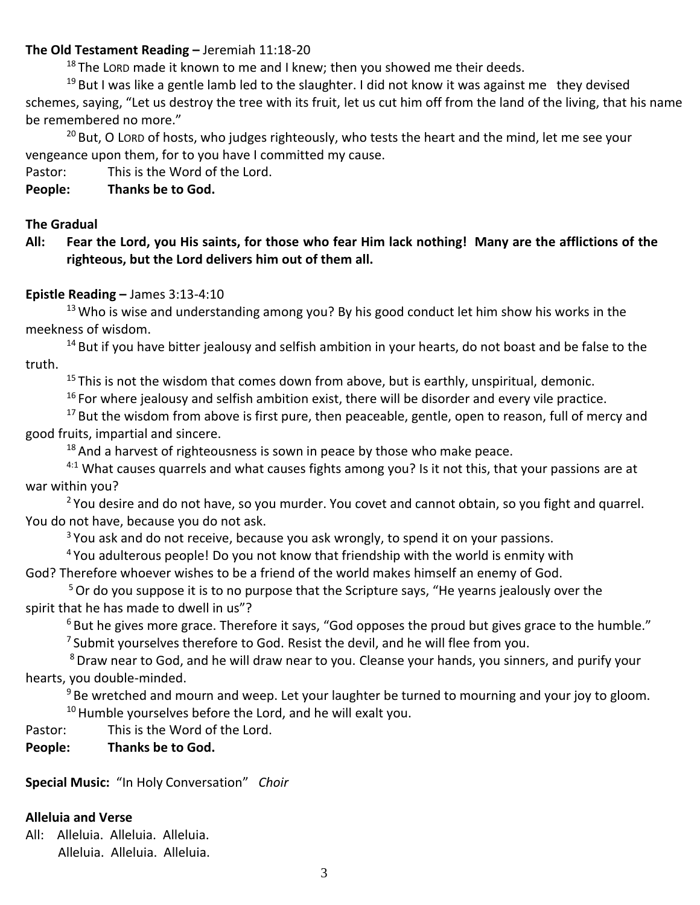#### **The Old Testament Reading –** Jeremiah 11:18-20

 $18$  The LORD made it known to me and I knew; then you showed me their deeds.

 $19$  But I was like a gentle lamb led to the slaughter. I did not know it was against me they devised schemes, saying, "Let us destroy the tree with its fruit, let us cut him off from the land of the living, that his name be remembered no more."

 $20$  But, O LORD of hosts, who judges righteously, who tests the heart and the mind, let me see your vengeance upon them, for to you have I committed my cause.

Pastor: This is the Word of the Lord.

## **People: Thanks be to God.**

#### **The Gradual**

**All: Fear the Lord, you His saints, for those who fear Him lack nothing! Many are the afflictions of the righteous, but the Lord delivers him out of them all.**

#### **Epistle Reading –** James 3:13-4:10

 $13$  Who is wise and understanding among you? By his good conduct let him show his works in the meekness of wisdom.

 $14$  But if you have bitter jealousy and selfish ambition in your hearts, do not boast and be false to the truth.

 $15$  This is not the wisdom that comes down from above, but is earthly, unspiritual, demonic.

 $16$  For where jealousy and selfish ambition exist, there will be disorder and every vile practice.

 $17$  But the wisdom from above is first pure, then peaceable, gentle, open to reason, full of mercy and good fruits, impartial and sincere.

 $18$  And a harvest of righteousness is sown in peace by those who make peace.

 $4:1$  What causes quarrels and what causes fights among you? Is it not this, that your passions are at war within you?

<sup>2</sup> You desire and do not have, so you murder. You covet and cannot obtain, so you fight and quarrel. You do not have, because you do not ask.

<sup>3</sup> You ask and do not receive, because you ask wrongly, to spend it on your passions.

<sup>4</sup> You adulterous people! Do you not know that friendship with the world is enmity with

God? Therefore whoever wishes to be a friend of the world makes himself an enemy of God.

<sup>5</sup> Or do you suppose it is to no purpose that the Scripture says, "He yearns jealously over the spirit that he has made to dwell in us"?

 $6$  But he gives more grace. Therefore it says, "God opposes the proud but gives grace to the humble."

 $7$  Submit yourselves therefore to God. Resist the devil, and he will flee from you.

<sup>8</sup> Draw near to God, and he will draw near to you. Cleanse your hands, you sinners, and purify your hearts, you double-minded.

 $9$  Be wretched and mourn and weep. Let your laughter be turned to mourning and your joy to gloom.  $10$  Humble yourselves before the Lord, and he will exalt you.

Pastor: This is the Word of the Lord.

## **People: Thanks be to God.**

**Special Music:** "In Holy Conversation" *Choir*

## **Alleluia and Verse**

All: Alleluia. Alleluia. Alleluia. Alleluia. Alleluia. Alleluia.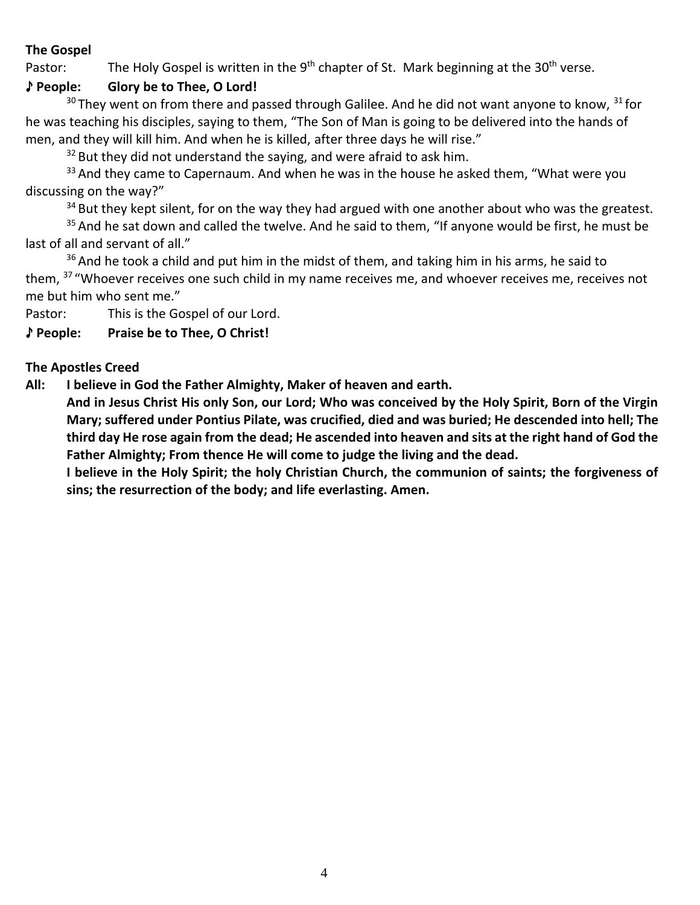## **The Gospel**

Pastor: The Holy Gospel is written in the  $9<sup>th</sup>$  chapter of St. Mark beginning at the 30<sup>th</sup> verse.

## ♪ **People: Glory be to Thee, O Lord!**

 $30$  They went on from there and passed through Galilee. And he did not want anyone to know,  $31$  for he was teaching his disciples, saying to them, "The Son of Man is going to be delivered into the hands of men, and they will kill him. And when he is killed, after three days he will rise."

 $32$  But they did not understand the saying, and were afraid to ask him.

 $33$  And they came to Capernaum. And when he was in the house he asked them, "What were you discussing on the way?"

 $34$  But they kept silent, for on the way they had argued with one another about who was the greatest.

 $35$  And he sat down and called the twelve. And he said to them, "If anyone would be first, he must be last of all and servant of all."

 $36$  And he took a child and put him in the midst of them, and taking him in his arms, he said to them, <sup>37</sup> "Whoever receives one such child in my name receives me, and whoever receives me, receives not me but him who sent me."

Pastor: This is the Gospel of our Lord.

## ♪ **People: Praise be to Thee, O Christ!**

## **The Apostles Creed**

**All: I believe in God the Father Almighty, Maker of heaven and earth.** 

**And in Jesus Christ His only Son, our Lord; Who was conceived by the Holy Spirit, Born of the Virgin Mary; suffered under Pontius Pilate, was crucified, died and was buried; He descended into hell; The third day He rose again from the dead; He ascended into heaven and sits at the right hand of God the Father Almighty; From thence He will come to judge the living and the dead.**

**I believe in the Holy Spirit; the holy Christian Church, the communion of saints; the forgiveness of sins; the resurrection of the body; and life everlasting. Amen.**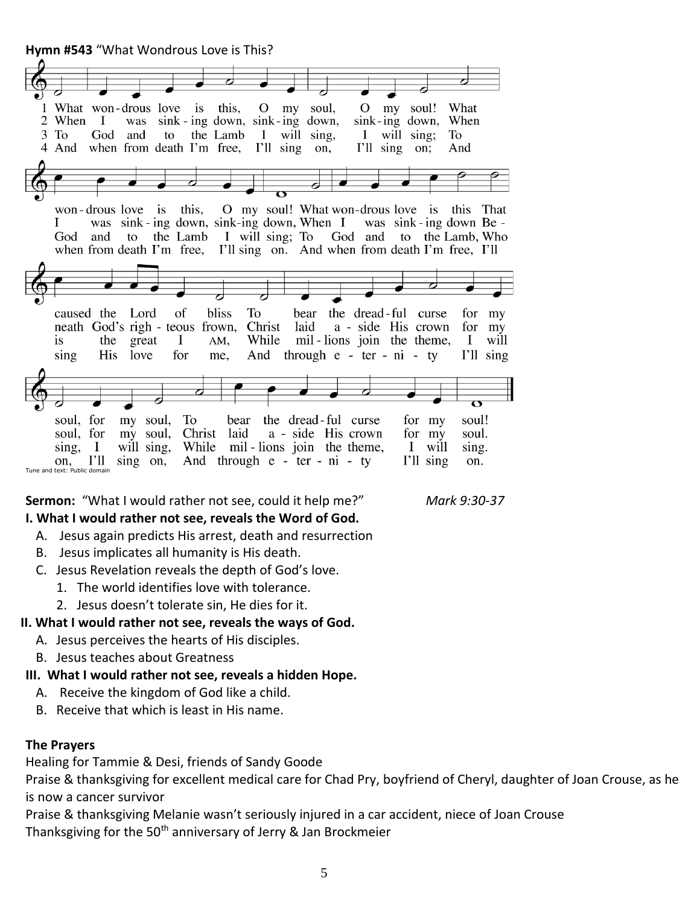**Hymn #543** "What Wondrous Love is This?



**Sermon:** "What I would rather not see, could it help me?" *Mark 9:30-37*

## **I. What I would rather not see, reveals the Word of God.**

- A. Jesus again predicts His arrest, death and resurrection
- B. Jesus implicates all humanity is His death.
- C. Jesus Revelation reveals the depth of God's love.
	- 1. The world identifies love with tolerance.
	- 2. Jesus doesn't tolerate sin, He dies for it.

## **II. What I would rather not see, reveals the ways of God.**

- A. Jesus perceives the hearts of His disciples.
- B. Jesus teaches about Greatness
- **III. What I would rather not see, reveals a hidden Hope.**
	- A. Receive the kingdom of God like a child.
	- B. Receive that which is least in His name.

## **The Prayers**

Healing for Tammie & Desi, friends of Sandy Goode

Praise & thanksgiving for excellent medical care for Chad Pry, boyfriend of Cheryl, daughter of Joan Crouse, as he is now a cancer survivor

Praise & thanksgiving Melanie wasn't seriously injured in a car accident, niece of Joan Crouse Thanksgiving for the  $50<sup>th</sup>$  anniversary of Jerry & Jan Brockmeier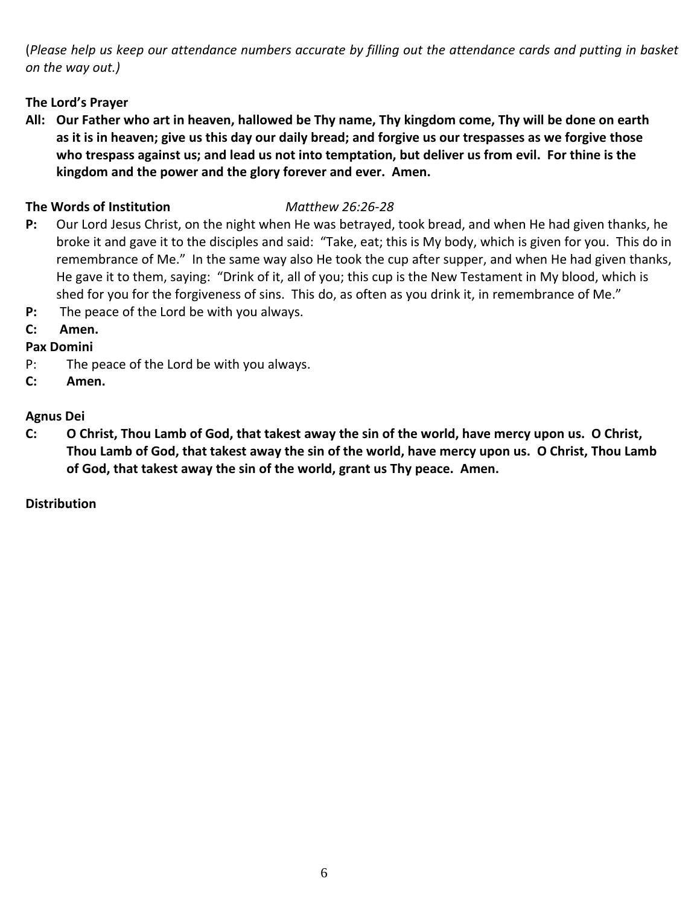(*Please help us keep our attendance numbers accurate by filling out the attendance cards and putting in basket on the way out.)*

## **The Lord's Prayer**

**All: Our Father who art in heaven, hallowed be Thy name, Thy kingdom come, Thy will be done on earth as it is in heaven; give us this day our daily bread; and forgive us our trespasses as we forgive those who trespass against us; and lead us not into temptation, but deliver us from evil. For thine is the kingdom and the power and the glory forever and ever. Amen.**

## **The Words of Institution** *Matthew 26:26-28*

- **P:** Our Lord Jesus Christ, on the night when He was betrayed, took bread, and when He had given thanks, he broke it and gave it to the disciples and said: "Take, eat; this is My body, which is given for you. This do in remembrance of Me." In the same way also He took the cup after supper, and when He had given thanks, He gave it to them, saying: "Drink of it, all of you; this cup is the New Testament in My blood, which is shed for you for the forgiveness of sins. This do, as often as you drink it, in remembrance of Me."
- **P:** The peace of the Lord be with you always.
- **C: Amen.**

## **Pax Domini**

- P: The peace of the Lord be with you always.
- **C: Amen.**

## **Agnus Dei**

**C: O Christ, Thou Lamb of God, that takest away the sin of the world, have mercy upon us. O Christ, Thou Lamb of God, that takest away the sin of the world, have mercy upon us. O Christ, Thou Lamb of God, that takest away the sin of the world, grant us Thy peace. Amen.**

## **Distribution**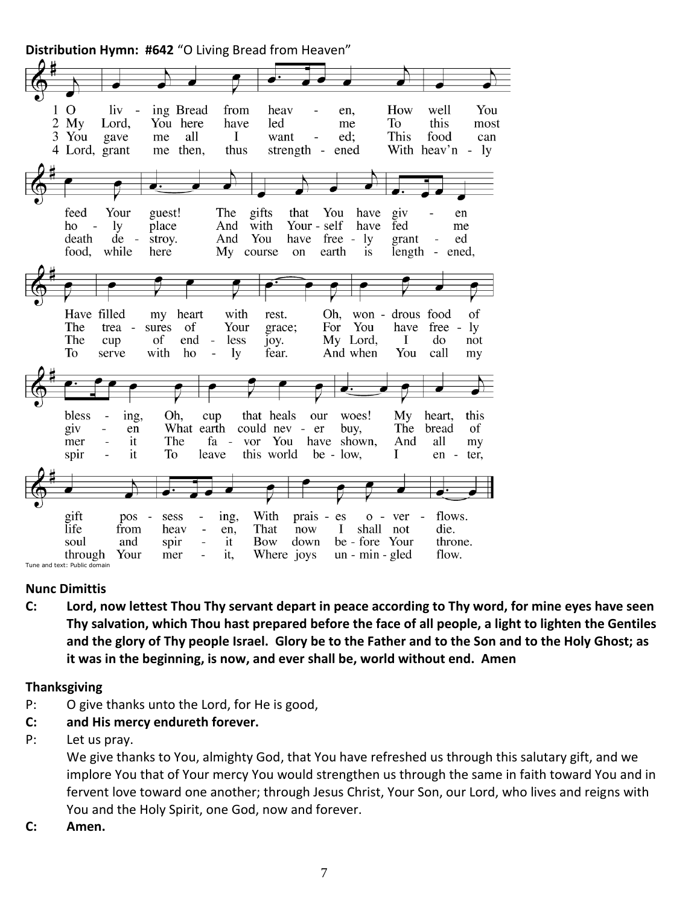**Distribution Hymn: #642** "O Living Bread from Heaven"



#### **Nunc Dimittis**

**C: Lord, now lettest Thou Thy servant depart in peace according to Thy word, for mine eyes have seen Thy salvation, which Thou hast prepared before the face of all people, a light to lighten the Gentiles and the glory of Thy people Israel. Glory be to the Father and to the Son and to the Holy Ghost; as it was in the beginning, is now, and ever shall be, world without end. Amen**

#### **Thanksgiving**

- P: O give thanks unto the Lord, for He is good,
- **C: and His mercy endureth forever.**
- P: Let us pray.

We give thanks to You, almighty God, that You have refreshed us through this salutary gift, and we implore You that of Your mercy You would strengthen us through the same in faith toward You and in fervent love toward one another; through Jesus Christ, Your Son, our Lord, who lives and reigns with You and the Holy Spirit, one God, now and forever.

**C: Amen.**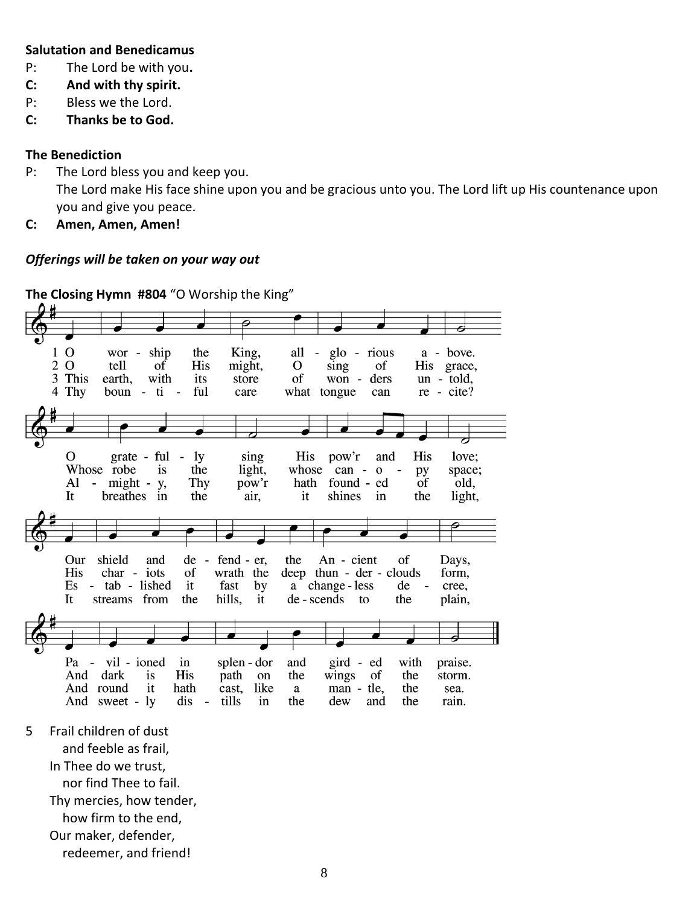#### **Salutation and Benedicamus**

- P: The Lord be with you**.**
- **C: And with thy spirit.**
- P: Bless we the Lord.
- **C: Thanks be to God.**

#### **The Benediction**

- P: The Lord bless you and keep you. The Lord make His face shine upon you and be gracious unto you. The Lord lift up His countenance upon you and give you peace.
- **C: Amen, Amen, Amen!**

#### *Offerings will be taken on your way out*

**The Closing Hymn #804** "O Worship the King"

 $1<sub>0</sub>$ King, wor - ship the all glo - rious a - bove.  $\overline{\phantom{a}}$ 2 O tell  $\sigma$ f His might,  $\Omega$ sing of His grace, 3 This earth, with of won un - told, its store ders 4 Thy boun - ti ful care what tongue  $re - cite?$  $\sim$ can grate - ful sing  $\Omega$ His love; **ly** His pow'r and the Whose robe is light, whose  $can - o$ space; py might - y, Al Thy pow'r hath found - ed of old,  $\sim$ It breathes in the air. it shines  $in$ the light, Our shield and de - fend - er, An - cient the of Days, His char - iots<br>Es - tab - lished wrath the deep thun - der - clouds of form, it fast a change - less de by  $\overline{\phantom{a}}$ cree, de-scends to It streams from the hills, it the plain, Pa - vil - ioned splen - dor  $in$ and gird - ed with praise. the And dark is **His** path on wings the storm. of And round it hath cast. like a man - tle. the sea. And sweet - ly dis  $\sim$ tills in the dew and the rain.

5 Frail children of dust

and feeble as frail,

In Thee do we trust,

nor find Thee to fail.

Thy mercies, how tender,

how firm to the end,

Our maker, defender,

redeemer, and friend!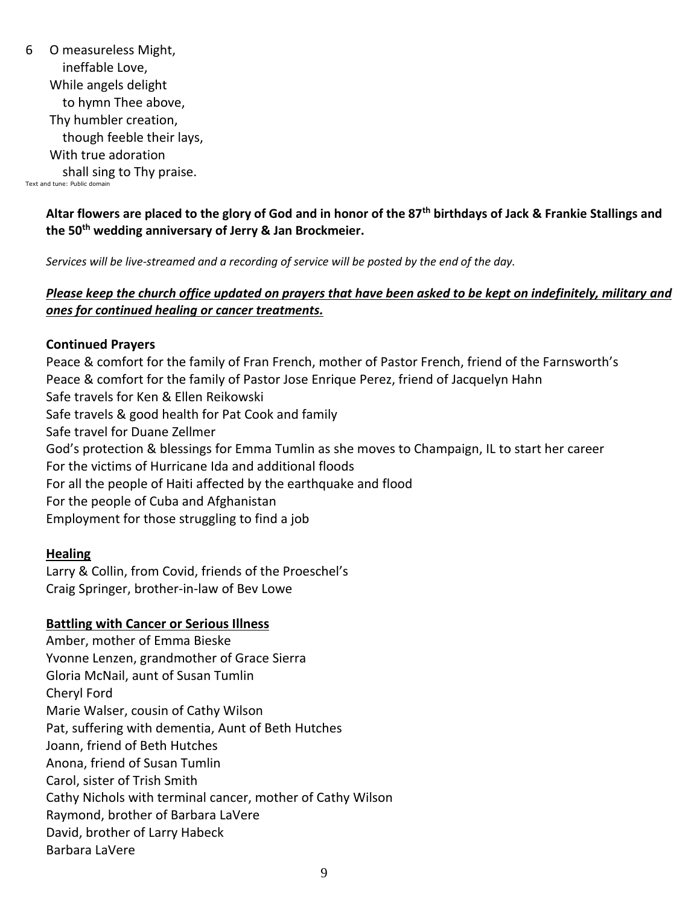6 O measureless Might, ineffable Love, While angels delight to hymn Thee above, Thy humbler creation, though feeble their lays, With true adoration shall sing to Thy praise. Text and tune: Public domain

#### **Altar flowers are placed to the glory of God and in honor of the 87th birthdays of Jack & Frankie Stallings and the 50th wedding anniversary of Jerry & Jan Brockmeier.**

*Services will be live-streamed and a recording of service will be posted by the end of the day.* 

## *Please keep the church office updated on prayers that have been asked to be kept on indefinitely, military and ones for continued healing or cancer treatments.*

#### **Continued Prayers**

Peace & comfort for the family of Fran French, mother of Pastor French, friend of the Farnsworth's Peace & comfort for the family of Pastor Jose Enrique Perez, friend of Jacquelyn Hahn Safe travels for Ken & Ellen Reikowski Safe travels & good health for Pat Cook and family Safe travel for Duane Zellmer God's protection & blessings for Emma Tumlin as she moves to Champaign, IL to start her career For the victims of Hurricane Ida and additional floods For all the people of Haiti affected by the earthquake and flood For the people of Cuba and Afghanistan Employment for those struggling to find a job

## **Healing**

Larry & Collin, from Covid, friends of the Proeschel's Craig Springer, brother-in-law of Bev Lowe

## **Battling with Cancer or Serious Illness**

Amber, mother of Emma Bieske Yvonne Lenzen, grandmother of Grace Sierra Gloria McNail, aunt of Susan Tumlin Cheryl Ford Marie Walser, cousin of Cathy Wilson Pat, suffering with dementia, Aunt of Beth Hutches Joann, friend of Beth Hutches Anona, friend of Susan Tumlin Carol, sister of Trish Smith Cathy Nichols with terminal cancer, mother of Cathy Wilson Raymond, brother of Barbara LaVere David, brother of Larry Habeck Barbara LaVere